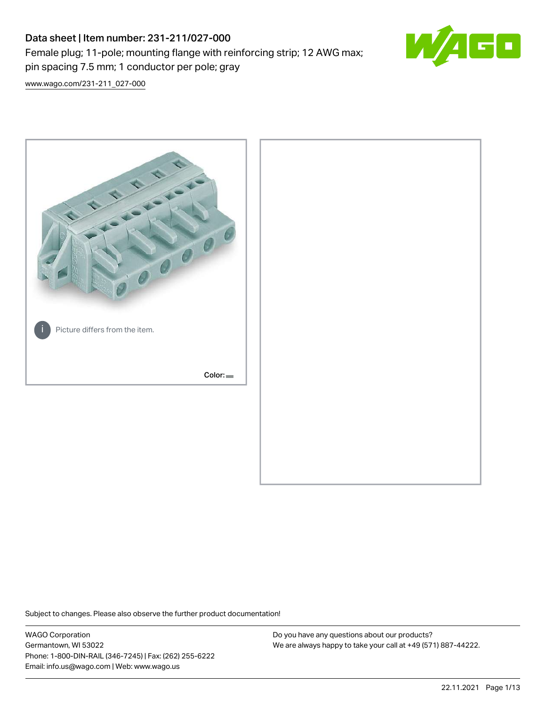# Data sheet | Item number: 231-211/027-000 Female plug; 11-pole; mounting flange with reinforcing strip; 12 AWG max; pin spacing 7.5 mm; 1 conductor per pole; gray



[www.wago.com/231-211\\_027-000](http://www.wago.com/231-211_027-000)



Subject to changes. Please also observe the further product documentation!

WAGO Corporation Germantown, WI 53022 Phone: 1-800-DIN-RAIL (346-7245) | Fax: (262) 255-6222 Email: info.us@wago.com | Web: www.wago.us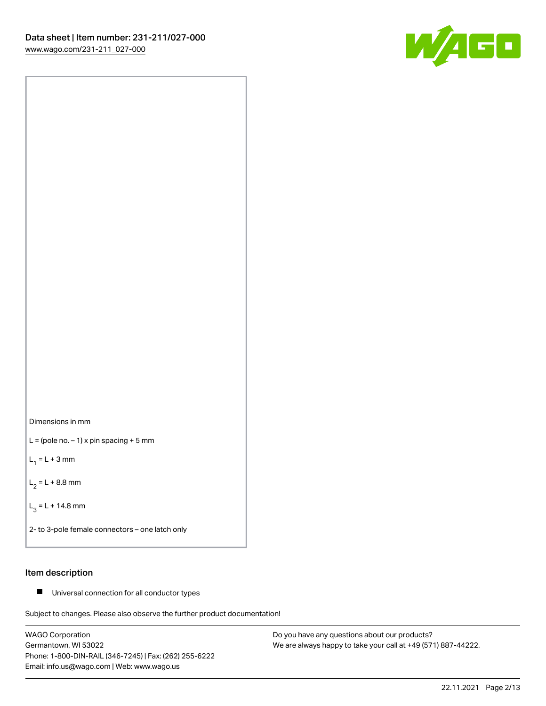



 $L =$  (pole no.  $-1$ ) x pin spacing + 5 mm

 $L_1 = L + 3$  mm

 $L_2 = L + 8.8$  mm

 $L_3 = L + 14.8$  mm

2- to 3-pole female connectors – one latch only

# Item description

■ Universal connection for all conductor types

Subject to changes. Please also observe the further product documentation!

WAGO Corporation Germantown, WI 53022 Phone: 1-800-DIN-RAIL (346-7245) | Fax: (262) 255-6222 Email: info.us@wago.com | Web: www.wago.us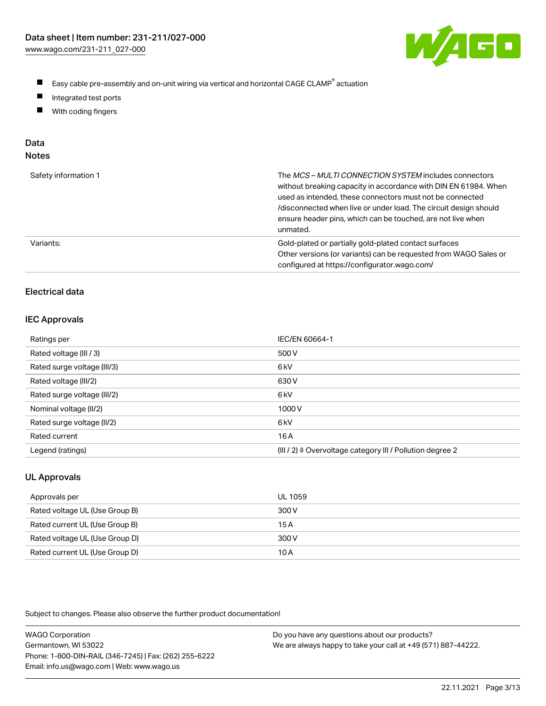

- $\blacksquare$ Easy cable pre-assembly and on-unit wiring via vertical and horizontal CAGE CLAMP<sup>®</sup> actuation
- $\blacksquare$ Integrated test ports
- $\blacksquare$ With coding fingers

# Data

| Safety information 1 | The MCS-MULTI CONNECTION SYSTEM includes connectors<br>without breaking capacity in accordance with DIN EN 61984. When<br>used as intended, these connectors must not be connected<br>/disconnected when live or under load. The circuit design should<br>ensure header pins, which can be touched, are not live when<br>unmated. |
|----------------------|-----------------------------------------------------------------------------------------------------------------------------------------------------------------------------------------------------------------------------------------------------------------------------------------------------------------------------------|
| Variants:            | Gold-plated or partially gold-plated contact surfaces<br>Other versions (or variants) can be requested from WAGO Sales or<br>configured at https://configurator.wago.com/                                                                                                                                                         |

# Electrical data

## IEC Approvals

| Ratings per                 | IEC/EN 60664-1                                                        |
|-----------------------------|-----------------------------------------------------------------------|
| Rated voltage (III / 3)     | 500 V                                                                 |
| Rated surge voltage (III/3) | 6 <sub>k</sub> V                                                      |
| Rated voltage (III/2)       | 630 V                                                                 |
| Rated surge voltage (III/2) | 6 kV                                                                  |
| Nominal voltage (II/2)      | 1000V                                                                 |
| Rated surge voltage (II/2)  | 6 kV                                                                  |
| Rated current               | 16A                                                                   |
| Legend (ratings)            | $(III / 2)$ $\triangle$ Overvoltage category III / Pollution degree 2 |

# UL Approvals

| Approvals per                  | UL 1059 |
|--------------------------------|---------|
| Rated voltage UL (Use Group B) | 300 V   |
| Rated current UL (Use Group B) | 15 A    |
| Rated voltage UL (Use Group D) | 300 V   |
| Rated current UL (Use Group D) | 10 A    |

Subject to changes. Please also observe the further product documentation!

| <b>WAGO Corporation</b>                                | Do you have any questions about our products?                 |
|--------------------------------------------------------|---------------------------------------------------------------|
| Germantown, WI 53022                                   | We are always happy to take your call at +49 (571) 887-44222. |
| Phone: 1-800-DIN-RAIL (346-7245)   Fax: (262) 255-6222 |                                                               |
| Email: info.us@wago.com   Web: www.wago.us             |                                                               |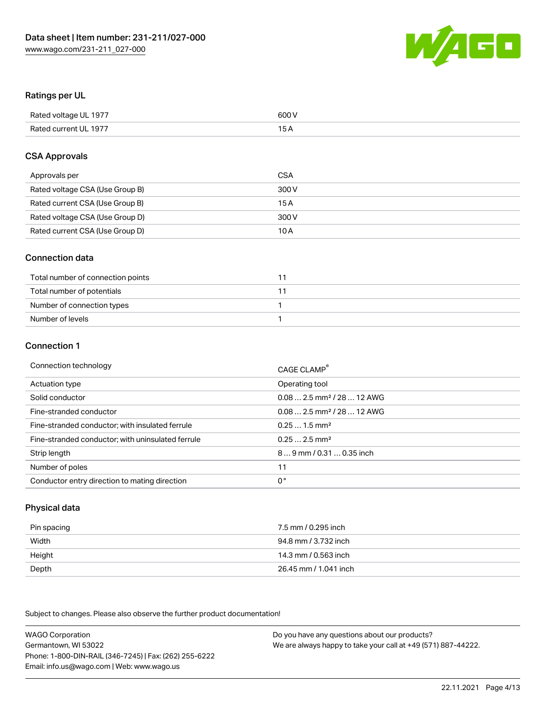

# Ratings per UL

| Rated voltage UL 1977 | 600 V |
|-----------------------|-------|
| Rated current UL 1977 | 1 E   |

# CSA Approvals

| Approvals per                   | CSA   |
|---------------------------------|-------|
| Rated voltage CSA (Use Group B) | 300 V |
| Rated current CSA (Use Group B) | 15 A  |
| Rated voltage CSA (Use Group D) | 300 V |
| Rated current CSA (Use Group D) | 10 A  |

# Connection data

| Total number of connection points |  |
|-----------------------------------|--|
| Total number of potentials        |  |
| Number of connection types        |  |
| Number of levels                  |  |

### Connection 1

| Connection technology                             | CAGE CLAMP <sup>®</sup>                 |
|---------------------------------------------------|-----------------------------------------|
| Actuation type                                    | Operating tool                          |
| Solid conductor                                   | $0.082.5$ mm <sup>2</sup> / 28  12 AWG  |
| Fine-stranded conductor                           | $0.08$ 2.5 mm <sup>2</sup> / 28  12 AWG |
| Fine-stranded conductor; with insulated ferrule   | $0.251.5$ mm <sup>2</sup>               |
| Fine-stranded conductor; with uninsulated ferrule | $0.252.5$ mm <sup>2</sup>               |
| Strip length                                      | 89 mm / 0.31  0.35 inch                 |
| Number of poles                                   | 11                                      |
| Conductor entry direction to mating direction     | 0°                                      |

# Physical data

| Pin spacing | 7.5 mm / 0.295 inch   |
|-------------|-----------------------|
| Width       | 94.8 mm / 3.732 inch  |
| Height      | 14.3 mm / 0.563 inch  |
| Depth       | 26.45 mm / 1.041 inch |

Subject to changes. Please also observe the further product documentation!

WAGO Corporation Germantown, WI 53022 Phone: 1-800-DIN-RAIL (346-7245) | Fax: (262) 255-6222 Email: info.us@wago.com | Web: www.wago.us Do you have any questions about our products? We are always happy to take your call at +49 (571) 887-44222.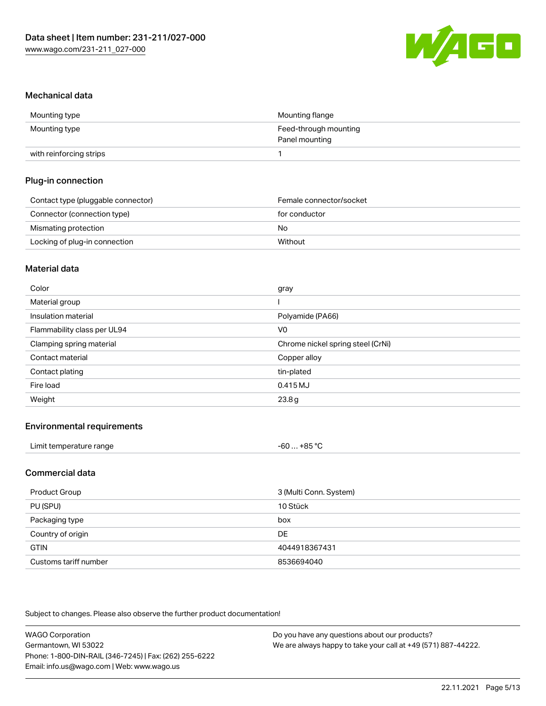

## Mechanical data

| Mounting type           | Mounting flange       |
|-------------------------|-----------------------|
| Mounting type           | Feed-through mounting |
|                         | Panel mounting        |
| with reinforcing strips |                       |

# Plug-in connection

| Contact type (pluggable connector) | Female connector/socket |
|------------------------------------|-------------------------|
| Connector (connection type)        | for conductor           |
| Mismating protection               | No                      |
| Locking of plug-in connection      | Without                 |

### Material data

| Color                       | gray                              |
|-----------------------------|-----------------------------------|
| Material group              |                                   |
| Insulation material         | Polyamide (PA66)                  |
| Flammability class per UL94 | V <sub>0</sub>                    |
| Clamping spring material    | Chrome nickel spring steel (CrNi) |
| Contact material            | Copper alloy                      |
| Contact plating             | tin-plated                        |
| Fire load                   | 0.415MJ                           |
| Weight                      | 23.8g                             |

# Environmental requirements

| Limit temperature range | -60  +85 °C |  |
|-------------------------|-------------|--|
|-------------------------|-------------|--|

# Commercial data

| Product Group         | 3 (Multi Conn. System) |
|-----------------------|------------------------|
| PU (SPU)              | 10 Stück               |
| Packaging type        | box                    |
| Country of origin     | <b>DE</b>              |
| <b>GTIN</b>           | 4044918367431          |
| Customs tariff number | 8536694040             |

Subject to changes. Please also observe the further product documentation!

| <b>WAGO Corporation</b>                                | Do you have any questions about our products?                 |
|--------------------------------------------------------|---------------------------------------------------------------|
| Germantown, WI 53022                                   | We are always happy to take your call at +49 (571) 887-44222. |
| Phone: 1-800-DIN-RAIL (346-7245)   Fax: (262) 255-6222 |                                                               |
| Email: info.us@wago.com   Web: www.wago.us             |                                                               |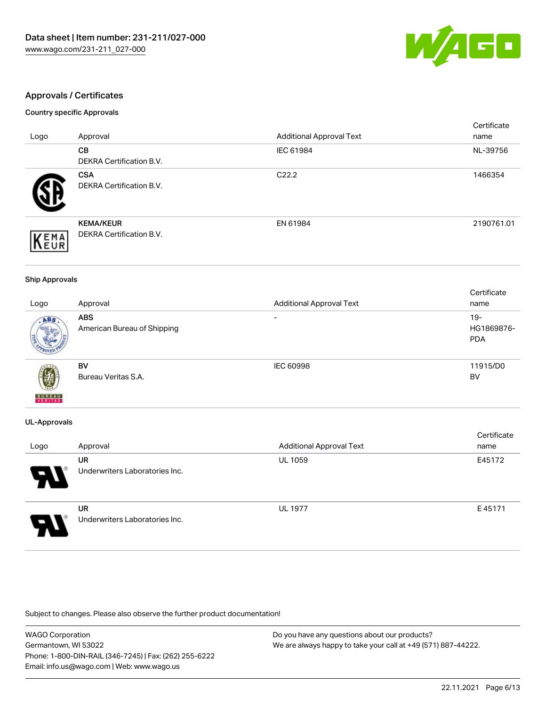

# Approvals / Certificates

### Country specific Approvals

|              |                                 |                                 | Certificate |
|--------------|---------------------------------|---------------------------------|-------------|
| Logo         | Approval                        | <b>Additional Approval Text</b> | name        |
|              | <b>CB</b>                       | IEC 61984                       | NL-39756    |
|              | <b>DEKRA Certification B.V.</b> |                                 |             |
|              | <b>CSA</b>                      | C <sub>22.2</sub>               | 1466354     |
|              | <b>DEKRA Certification B.V.</b> |                                 |             |
|              | <b>KEMA/KEUR</b>                | EN 61984                        | 2190761.01  |
| EMA          | <b>DEKRA Certification B.V.</b> |                                 |             |
| <b>INEUR</b> |                                 |                                 |             |

#### Ship Approvals

|                          |                             |                                 | Certificate |
|--------------------------|-----------------------------|---------------------------------|-------------|
| Logo                     | Approval                    | <b>Additional Approval Text</b> | name        |
| ABS                      | <b>ABS</b>                  | $\overline{\phantom{0}}$        | $19-$       |
|                          | American Bureau of Shipping |                                 | HG1869876-  |
|                          |                             |                                 | <b>PDA</b>  |
|                          |                             |                                 |             |
|                          | BV                          | <b>IEC 60998</b>                | 11915/D0    |
| Ŵ                        | Bureau Veritas S.A.         |                                 | BV          |
| <b>BUREAU</b><br>VERITAS |                             |                                 |             |

### UL-Approvals

| Logo | Approval                             | <b>Additional Approval Text</b> | Certificate<br>name |
|------|--------------------------------------|---------------------------------|---------------------|
| 8    | UR<br>Underwriters Laboratories Inc. | <b>UL 1059</b>                  | E45172              |
| 8.   | UR<br>Underwriters Laboratories Inc. | <b>UL 1977</b>                  | E45171              |

Subject to changes. Please also observe the further product documentation!

| <b>WAGO Corporation</b>                                | Do you have any questions about our products?                 |
|--------------------------------------------------------|---------------------------------------------------------------|
| Germantown, WI 53022                                   | We are always happy to take your call at +49 (571) 887-44222. |
| Phone: 1-800-DIN-RAIL (346-7245)   Fax: (262) 255-6222 |                                                               |
| Email: info.us@wago.com   Web: www.wago.us             |                                                               |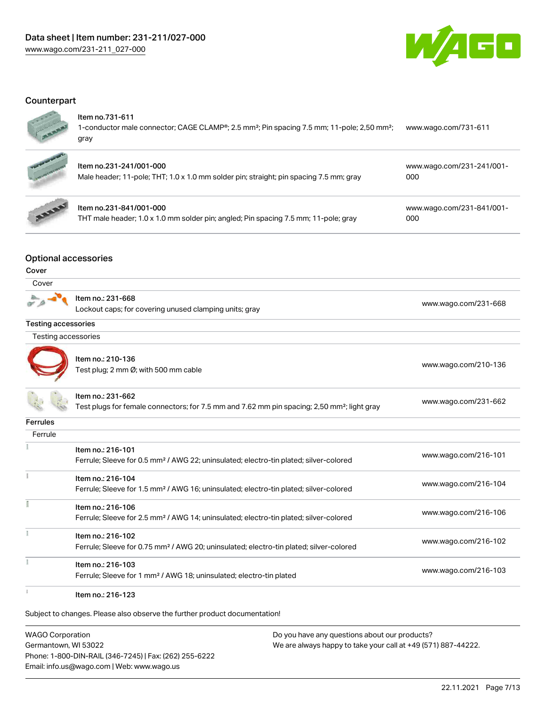

# **Counterpart**

| ï |
|---|
|   |

### Item no.731-611

1-conductor male connector; CAGE CLAMP®; 2.5 mm²; Pin spacing 7.5 mm; 11-pole; 2,50 mm²; gray [www.wago.com/731-611](https://www.wago.com/731-611)



# Item no.231-241/001-000

| Male header; 11-pole; THT; 1.0 x 1.0 mm solder pin; straight; pin spacing 7.5 mm; gray | оос |  |
|----------------------------------------------------------------------------------------|-----|--|
|                                                                                        |     |  |



# Item no.231-841/001-000

THT male header; 1.0 x 1.0 mm solder pin; angled; Pin spacing 7.5 mm; 11-pole; gray

[www.wago.com/231-841/001-](https://www.wago.com/231-841/001-000) [000](https://www.wago.com/231-841/001-000)

[www.wago.com/231-241/001-](https://www.wago.com/231-241/001-000)

# Optional accessories

#### Cover

| Cover                      |                                                                                                                              |                      |
|----------------------------|------------------------------------------------------------------------------------------------------------------------------|----------------------|
|                            | Item no.: 231-668<br>Lockout caps; for covering unused clamping units; gray                                                  | www.wago.com/231-668 |
| <b>Testing accessories</b> |                                                                                                                              |                      |
| <b>Testing accessories</b> |                                                                                                                              |                      |
|                            | Item no.: 210-136<br>Test plug; 2 mm Ø; with 500 mm cable                                                                    | www.wago.com/210-136 |
|                            | Item no.: 231-662<br>Test plugs for female connectors; for 7.5 mm and 7.62 mm pin spacing; 2,50 mm <sup>2</sup> ; light gray | www.wago.com/231-662 |
| Ferrules                   |                                                                                                                              |                      |
| Ferrule                    |                                                                                                                              |                      |
|                            | Item no.: 216-101<br>Ferrule; Sleeve for 0.5 mm <sup>2</sup> / AWG 22; uninsulated; electro-tin plated; silver-colored       | www.wago.com/216-101 |
|                            | Item no.: 216-104<br>Ferrule; Sleeve for 1.5 mm <sup>2</sup> / AWG 16; uninsulated; electro-tin plated; silver-colored       | www.wago.com/216-104 |
|                            | Item no.: 216-106<br>Ferrule; Sleeve for 2.5 mm <sup>2</sup> / AWG 14; uninsulated; electro-tin plated; silver-colored       | www.wago.com/216-106 |
|                            | Item no.: 216-102<br>Ferrule; Sleeve for 0.75 mm <sup>2</sup> / AWG 20; uninsulated; electro-tin plated; silver-colored      | www.wago.com/216-102 |
|                            | Item no.: 216-103<br>Ferrule; Sleeve for 1 mm <sup>2</sup> / AWG 18; uninsulated; electro-tin plated                         | www.wago.com/216-103 |
|                            | $H = 20$                                                                                                                     |                      |

Item no.: 216-123

Subject to changes. Please also observe the further product documentation!

WAGO Corporation Germantown, WI 53022 Phone: 1-800-DIN-RAIL (346-7245) | Fax: (262) 255-6222 Email: info.us@wago.com | Web: www.wago.us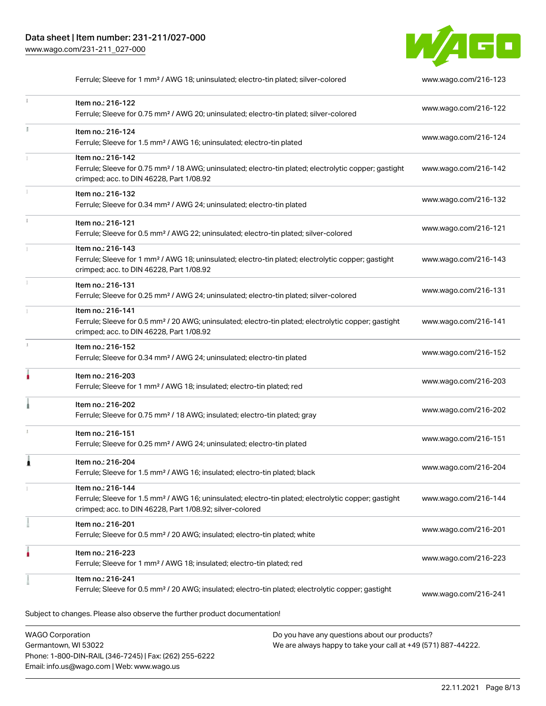

Ferrule; Sleeve for 1 mm<sup>2</sup> / AWG 18; uninsulated; electro-tin plated; silver-colored [www.wago.com/216-123](http://www.wago.com/216-123)

|                         | Item no.: 216-122<br>Ferrule; Sleeve for 0.75 mm <sup>2</sup> / AWG 20; uninsulated; electro-tin plated; silver-colored                                                                           | www.wago.com/216-122 |
|-------------------------|---------------------------------------------------------------------------------------------------------------------------------------------------------------------------------------------------|----------------------|
| ă.                      | Item no.: 216-124<br>Ferrule; Sleeve for 1.5 mm <sup>2</sup> / AWG 16; uninsulated; electro-tin plated                                                                                            | www.wago.com/216-124 |
|                         | Item no.: 216-142<br>Ferrule; Sleeve for 0.75 mm <sup>2</sup> / 18 AWG; uninsulated; electro-tin plated; electrolytic copper; gastight<br>crimped; acc. to DIN 46228, Part 1/08.92                | www.wago.com/216-142 |
|                         | Item no.: 216-132<br>Ferrule; Sleeve for 0.34 mm <sup>2</sup> / AWG 24; uninsulated; electro-tin plated                                                                                           | www.wago.com/216-132 |
|                         | Item no.: 216-121<br>Ferrule; Sleeve for 0.5 mm <sup>2</sup> / AWG 22; uninsulated; electro-tin plated; silver-colored                                                                            | www.wago.com/216-121 |
|                         | Item no.: 216-143<br>Ferrule; Sleeve for 1 mm <sup>2</sup> / AWG 18; uninsulated; electro-tin plated; electrolytic copper; gastight<br>crimped; acc. to DIN 46228, Part 1/08.92                   | www.wago.com/216-143 |
|                         | Item no.: 216-131<br>Ferrule; Sleeve for 0.25 mm <sup>2</sup> / AWG 24; uninsulated; electro-tin plated; silver-colored                                                                           | www.wago.com/216-131 |
|                         | Item no.: 216-141<br>Ferrule; Sleeve for 0.5 mm <sup>2</sup> / 20 AWG; uninsulated; electro-tin plated; electrolytic copper; gastight<br>crimped; acc. to DIN 46228, Part 1/08.92                 | www.wago.com/216-141 |
|                         | Item no.: 216-152<br>Ferrule; Sleeve for 0.34 mm <sup>2</sup> / AWG 24; uninsulated; electro-tin plated                                                                                           | www.wago.com/216-152 |
|                         | Item no.: 216-203<br>Ferrule; Sleeve for 1 mm <sup>2</sup> / AWG 18; insulated; electro-tin plated; red                                                                                           | www.wago.com/216-203 |
|                         | Item no.: 216-202<br>Ferrule; Sleeve for 0.75 mm <sup>2</sup> / 18 AWG; insulated; electro-tin plated; gray                                                                                       | www.wago.com/216-202 |
|                         | Item no.: 216-151<br>Ferrule; Sleeve for 0.25 mm <sup>2</sup> / AWG 24; uninsulated; electro-tin plated                                                                                           | www.wago.com/216-151 |
|                         | Item no.: 216-204<br>Ferrule; Sleeve for 1.5 mm <sup>2</sup> / AWG 16; insulated; electro-tin plated; black                                                                                       | www.wago.com/216-204 |
|                         | Item no.: 216-144<br>Ferrule; Sleeve for 1.5 mm <sup>2</sup> / AWG 16; uninsulated; electro-tin plated; electrolytic copper; gastight<br>crimped; acc. to DIN 46228, Part 1/08.92; silver-colored | www.wago.com/216-144 |
|                         | Item no.: 216-201<br>Ferrule; Sleeve for 0.5 mm <sup>2</sup> / 20 AWG; insulated; electro-tin plated; white                                                                                       | www.wago.com/216-201 |
|                         | Item no.: 216-223<br>Ferrule; Sleeve for 1 mm <sup>2</sup> / AWG 18; insulated; electro-tin plated; red                                                                                           | www.wago.com/216-223 |
|                         | Item no.: 216-241<br>Ferrule; Sleeve for 0.5 mm <sup>2</sup> / 20 AWG; insulated; electro-tin plated; electrolytic copper; gastight                                                               | www.wago.com/216-241 |
|                         | Subject to changes. Please also observe the further product documentation!                                                                                                                        |                      |
| <b>WAGO Corporation</b> | Do you have any questions about our products?                                                                                                                                                     |                      |

WAGO Corporation Germantown, WI 53022 Phone: 1-800-DIN-RAIL (346-7245) | Fax: (262) 255-6222 Email: info.us@wago.com | Web: www.wago.us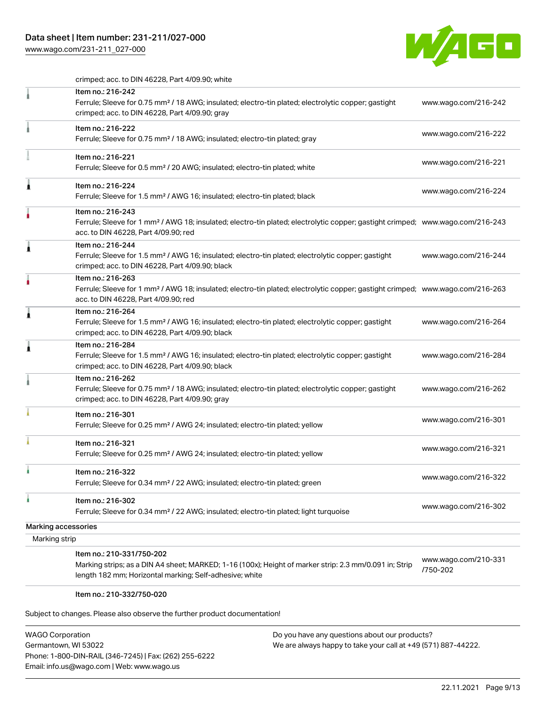# Data sheet | Item number: 231-211/027-000

[www.wago.com/231-211\\_027-000](http://www.wago.com/231-211_027-000)



crimped; acc. to DIN 46228, Part 4/09.90; white

| Item no.: 216-242<br>Ferrule; Sleeve for 0.75 mm <sup>2</sup> / 18 AWG; insulated; electro-tin plated; electrolytic copper; gastight<br>crimped; acc. to DIN 46228, Part 4/09.90; gray                  | www.wago.com/216-242                                              |
|---------------------------------------------------------------------------------------------------------------------------------------------------------------------------------------------------------|-------------------------------------------------------------------|
| Item no.: 216-222<br>Ferrule; Sleeve for 0.75 mm <sup>2</sup> / 18 AWG; insulated; electro-tin plated; gray                                                                                             | www.wago.com/216-222                                              |
| Item no.: 216-221<br>Ferrule; Sleeve for 0.5 mm <sup>2</sup> / 20 AWG; insulated; electro-tin plated; white                                                                                             | www.wago.com/216-221                                              |
| Item no.: 216-224<br>Ferrule; Sleeve for 1.5 mm <sup>2</sup> / AWG 16; insulated; electro-tin plated; black                                                                                             | www.wago.com/216-224                                              |
| Item no.: 216-243<br>Ferrule; Sleeve for 1 mm <sup>2</sup> / AWG 18; insulated; electro-tin plated; electrolytic copper; gastight crimped; www.wago.com/216-243<br>acc. to DIN 46228, Part 4/09.90; red |                                                                   |
| Item no.: 216-244<br>Ferrule; Sleeve for 1.5 mm <sup>2</sup> / AWG 16; insulated; electro-tin plated; electrolytic copper; gastight<br>crimped; acc. to DIN 46228, Part 4/09.90; black                  | www.wago.com/216-244                                              |
| Item no.: 216-263<br>Ferrule; Sleeve for 1 mm <sup>2</sup> / AWG 18; insulated; electro-tin plated; electrolytic copper; gastight crimped; www.wago.com/216-263<br>acc. to DIN 46228, Part 4/09.90; red |                                                                   |
| Item no.: 216-264<br>Ferrule; Sleeve for 1.5 mm <sup>2</sup> / AWG 16; insulated; electro-tin plated; electrolytic copper; gastight<br>crimped; acc. to DIN 46228, Part 4/09.90; black                  | www.wago.com/216-264                                              |
| Item no.: 216-284<br>Ferrule; Sleeve for 1.5 mm <sup>2</sup> / AWG 16; insulated; electro-tin plated; electrolytic copper; gastight<br>crimped; acc. to DIN 46228, Part 4/09.90; black                  | www.wago.com/216-284                                              |
| Item no.: 216-262<br>Ferrule; Sleeve for 0.75 mm <sup>2</sup> / 18 AWG; insulated; electro-tin plated; electrolytic copper; gastight<br>crimped; acc. to DIN 46228, Part 4/09.90; gray                  | www.wago.com/216-262                                              |
| Item no.: 216-301<br>Ferrule; Sleeve for 0.25 mm <sup>2</sup> / AWG 24; insulated; electro-tin plated; yellow                                                                                           | www.wago.com/216-301                                              |
| Item no.: 216-321<br>Ferrule; Sleeve for 0.25 mm <sup>2</sup> / AWG 24; insulated; electro-tin plated; yellow                                                                                           | www.wago.com/216-321                                              |
| Item no.: 216-322<br>Ferrule; Sleeve for 0.34 mm <sup>2</sup> / 22 AWG; insulated; electro-tin plated; green                                                                                            | www.wago.com/216-322                                              |
| Item no.: 216-302<br>Ferrule; Sleeve for 0.34 mm <sup>2</sup> / 22 AWG; insulated; electro-tin plated; light turquoise                                                                                  | www.wago.com/216-302                                              |
|                                                                                                                                                                                                         |                                                                   |
|                                                                                                                                                                                                         |                                                                   |
| Marking strips; as a DIN A4 sheet; MARKED; 1-16 (100x); Height of marker strip: 2.3 mm/0.091 in; Strip<br>length 182 mm; Horizontal marking; Self-adhesive; white                                       | www.wago.com/210-331<br>/750-202                                  |
|                                                                                                                                                                                                         | Marking accessories<br>Marking strip<br>Item no.: 210-331/750-202 |

### Item no.: 210-332/750-020

Subject to changes. Please also observe the further product documentation!

| <b>WAGO Corporation</b>                                |
|--------------------------------------------------------|
| Germantown, WI 53022                                   |
| Phone: 1-800-DIN-RAIL (346-7245)   Fax: (262) 255-6222 |
| Email: info.us@wago.com   Web: www.wago.us             |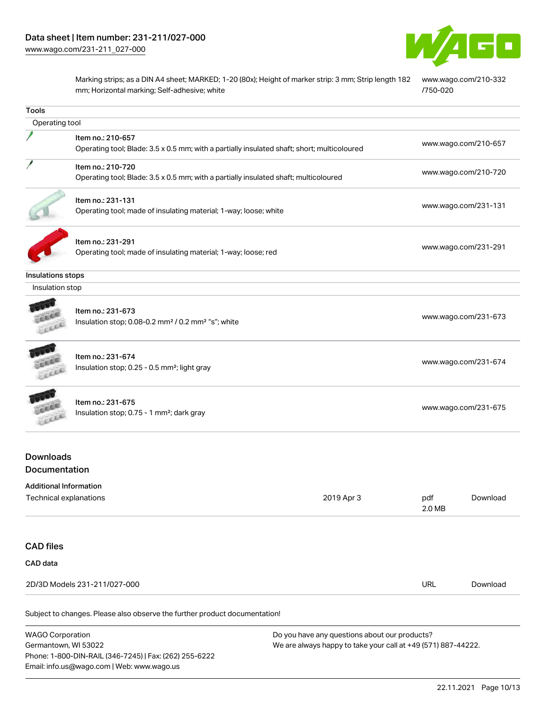Email: info.us@wago.com | Web: www.wago.us



Marking strips; as a DIN A4 sheet; MARKED; 1-20 (80x); Height of marker strip: 3 mm; Strip length 182 mm; Horizontal marking; Self-adhesive; white [www.wago.com/210-332](http://www.wago.com/210-332/750-020) [/750-020](http://www.wago.com/210-332/750-020)

| <b>Tools</b>                                                                                                                                                                                                                |                                                                                                                  |            |                      |                      |  |
|-----------------------------------------------------------------------------------------------------------------------------------------------------------------------------------------------------------------------------|------------------------------------------------------------------------------------------------------------------|------------|----------------------|----------------------|--|
| Operating tool                                                                                                                                                                                                              |                                                                                                                  |            |                      |                      |  |
|                                                                                                                                                                                                                             | Item no.: 210-657<br>Operating tool; Blade: 3.5 x 0.5 mm; with a partially insulated shaft; short; multicoloured |            | www.wago.com/210-657 |                      |  |
|                                                                                                                                                                                                                             | Item no.: 210-720<br>Operating tool; Blade: 3.5 x 0.5 mm; with a partially insulated shaft; multicoloured        |            |                      | www.wago.com/210-720 |  |
|                                                                                                                                                                                                                             | Item no.: 231-131<br>Operating tool; made of insulating material; 1-way; loose; white                            |            | www.wago.com/231-131 |                      |  |
|                                                                                                                                                                                                                             | Item no.: 231-291<br>Operating tool; made of insulating material; 1-way; loose; red                              |            | www.wago.com/231-291 |                      |  |
| Insulations stops                                                                                                                                                                                                           |                                                                                                                  |            |                      |                      |  |
| Insulation stop                                                                                                                                                                                                             |                                                                                                                  |            |                      |                      |  |
| FEEL                                                                                                                                                                                                                        | Item no.: 231-673<br>Insulation stop; 0.08-0.2 mm <sup>2</sup> / 0.2 mm <sup>2</sup> "s"; white                  |            | www.wago.com/231-673 |                      |  |
| Lecce                                                                                                                                                                                                                       | Item no.: 231-674<br>Insulation stop; 0.25 - 0.5 mm <sup>2</sup> ; light gray                                    |            | www.wago.com/231-674 |                      |  |
| CEER                                                                                                                                                                                                                        | Item no.: 231-675<br>Insulation stop; 0.75 - 1 mm <sup>2</sup> ; dark gray                                       |            | www.wago.com/231-675 |                      |  |
| <b>Downloads</b><br><b>Documentation</b>                                                                                                                                                                                    |                                                                                                                  |            |                      |                      |  |
| <b>Additional Information</b><br>Technical explanations                                                                                                                                                                     |                                                                                                                  | 2019 Apr 3 | pdf<br>2.0 MB        | Download             |  |
| <b>CAD</b> files                                                                                                                                                                                                            |                                                                                                                  |            |                      |                      |  |
| CAD data                                                                                                                                                                                                                    |                                                                                                                  |            |                      |                      |  |
| 2D/3D Models 231-211/027-000                                                                                                                                                                                                |                                                                                                                  |            | <b>URL</b>           | Download             |  |
|                                                                                                                                                                                                                             | Subject to changes. Please also observe the further product documentation!                                       |            |                      |                      |  |
| <b>WAGO Corporation</b><br>Do you have any questions about our products?<br>Germantown, WI 53022<br>We are always happy to take your call at +49 (571) 887-44222.<br>Phone: 1-800-DIN-RAIL (346-7245)   Fax: (262) 255-6222 |                                                                                                                  |            |                      |                      |  |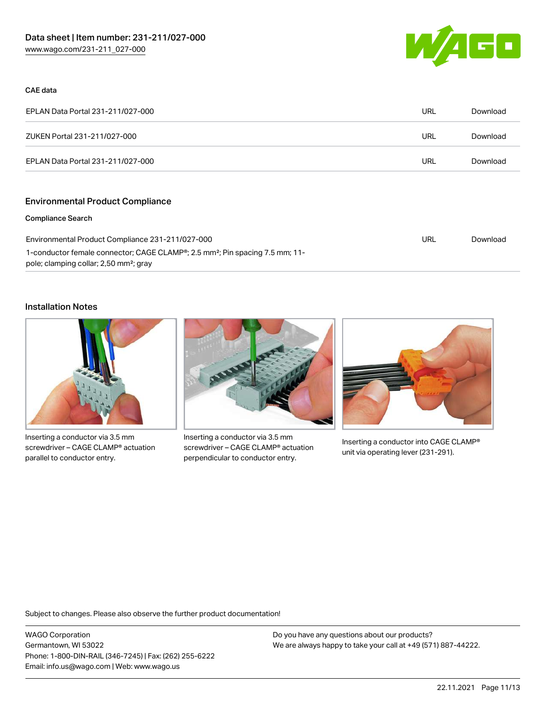

### CAE data

| EPLAN Data Portal 231-211/027-000 | URL | Download |
|-----------------------------------|-----|----------|
| ZUKEN Portal 231-211/027-000      | URL | Download |
| EPLAN Data Portal 231-211/027-000 | URL | Download |

# Environmental Product Compliance

#### Compliance Search

| Environmental Product Compliance 231-211/027-000                                                      | URL | Download |
|-------------------------------------------------------------------------------------------------------|-----|----------|
| 1-conductor female connector; CAGE CLAMP <sup>®</sup> ; 2.5 mm <sup>2</sup> ; Pin spacing 7.5 mm; 11- |     |          |
| pole; clamping collar; 2,50 mm <sup>2</sup> ; gray                                                    |     |          |

#### Installation Notes



Inserting a conductor via 3.5 mm screwdriver – CAGE CLAMP® actuation parallel to conductor entry.



Inserting a conductor via 3.5 mm screwdriver – CAGE CLAMP® actuation perpendicular to conductor entry.



Inserting a conductor into CAGE CLAMP® unit via operating lever (231-291).

Subject to changes. Please also observe the further product documentation!

WAGO Corporation Germantown, WI 53022 Phone: 1-800-DIN-RAIL (346-7245) | Fax: (262) 255-6222 Email: info.us@wago.com | Web: www.wago.us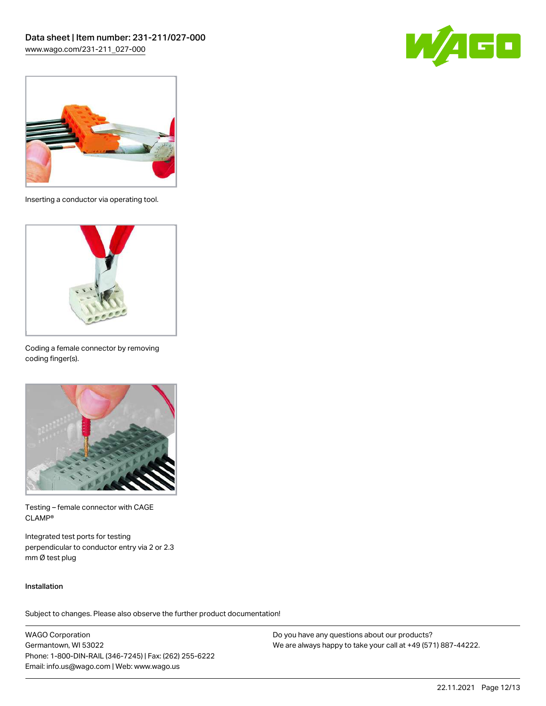



Inserting a conductor via operating tool.



Coding a female connector by removing coding finger(s).



Testing – female connector with CAGE CLAMP®

Integrated test ports for testing perpendicular to conductor entry via 2 or 2.3 mm Ø test plug

### Installation

Subject to changes. Please also observe the further product documentation!

WAGO Corporation Germantown, WI 53022 Phone: 1-800-DIN-RAIL (346-7245) | Fax: (262) 255-6222 Email: info.us@wago.com | Web: www.wago.us